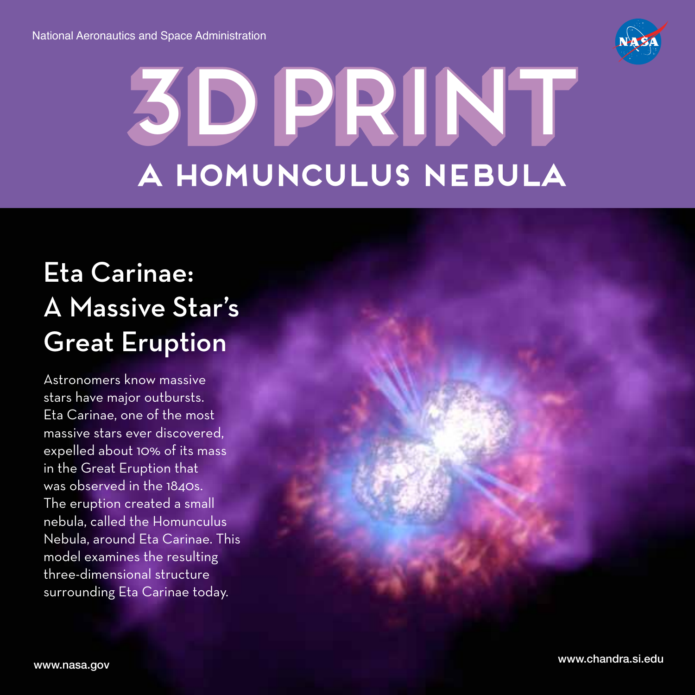

## **3d print** 3d print **a homunculus nebula**

## Eta Carinae: A Massive Star's Great Eruption

Astronomers know massive stars have major outbursts. Eta Carinae, one of the most massive stars ever discovered, expelled about 10% of its mass in the Great Eruption that was observed in the 1840s. The eruption created a small nebula, called the Homunculus Nebula, around Eta Carinae. This model examines the resulting three-dimensional structure surrounding Eta Carinae today.